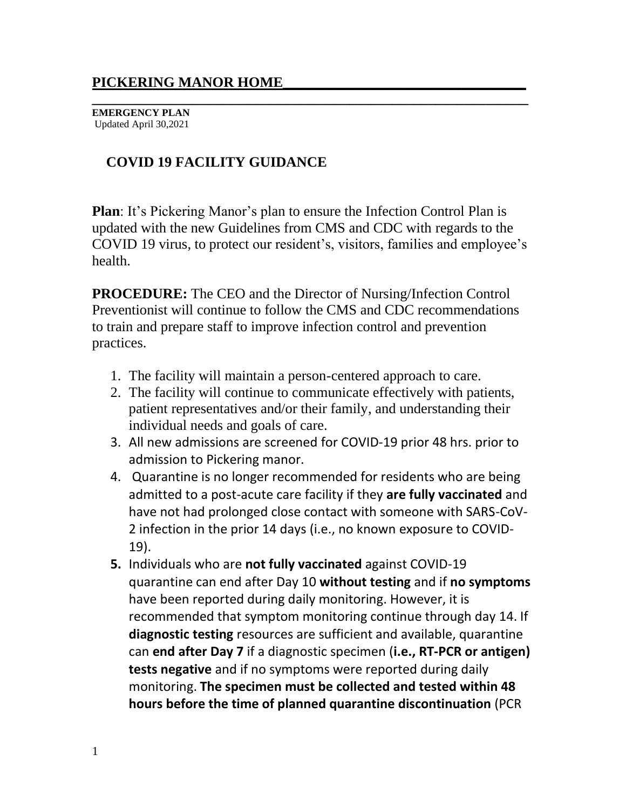**\_\_\_\_\_\_\_\_\_\_\_\_\_\_\_\_\_\_\_\_\_\_\_\_\_\_\_\_\_\_\_\_\_\_\_\_\_\_\_\_\_\_\_\_\_\_\_\_\_\_\_\_\_\_\_\_\_\_\_\_\_ EMERGENCY PLAN** Updated April 30,2021

# **COVID 19 FACILITY GUIDANCE**

**Plan**: It's Pickering Manor's plan to ensure the Infection Control Plan is updated with the new Guidelines from CMS and CDC with regards to the COVID 19 virus, to protect our resident's, visitors, families and employee's health.

**PROCEDURE:** The CEO and the Director of Nursing/Infection Control Preventionist will continue to follow the CMS and CDC recommendations to train and prepare staff to improve infection control and prevention practices.

- 1. The facility will maintain a person-centered approach to care.
- 2. The facility will continue to communicate effectively with patients, patient representatives and/or their family, and understanding their individual needs and goals of care.
- 3. All new admissions are screened for COVID-19 prior 48 hrs. prior to admission to Pickering manor.
- 4. Quarantine is no longer recommended for residents who are being admitted to a post-acute care facility if they **are fully vaccinated** and have not had prolonged close contact with someone with SARS-CoV-2 infection in the prior 14 days (i.e., no known exposure to COVID-19).
- **5.** Individuals who are **not fully vaccinated** against COVID-19 quarantine can end after Day 10 **without testing** and if **no symptoms** have been reported during daily monitoring. However, it is recommended that symptom monitoring continue through day 14. If **diagnostic testing** resources are sufficient and available, quarantine can **end after Day 7** if a diagnostic specimen (**i.e., RT-PCR or antigen) tests negative** and if no symptoms were reported during daily monitoring. **The specimen must be collected and tested within 48 hours before the time of planned quarantine discontinuation** (PCR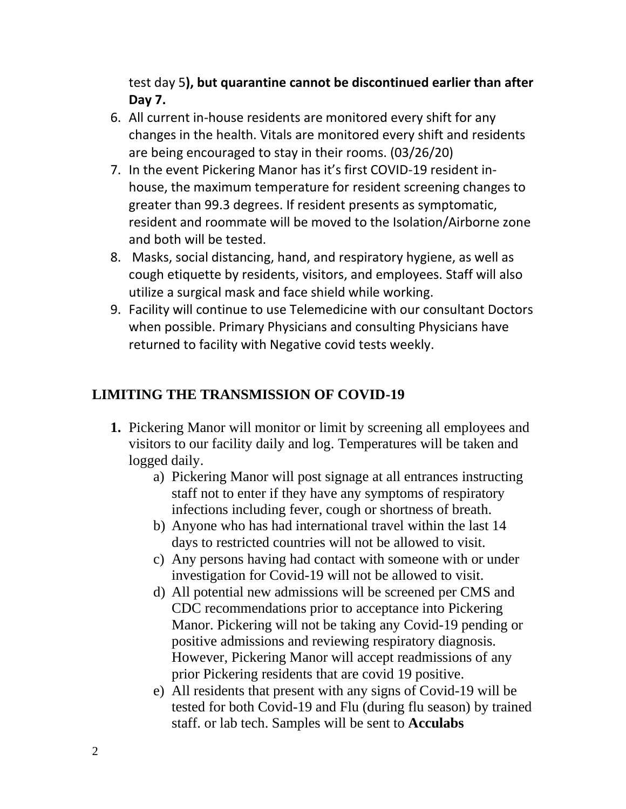test day 5**), but quarantine cannot be discontinued earlier than after Day 7.**

- 6. All current in-house residents are monitored every shift for any changes in the health. Vitals are monitored every shift and residents are being encouraged to stay in their rooms. (03/26/20)
- 7. In the event Pickering Manor has it's first COVID-19 resident inhouse, the maximum temperature for resident screening changes to greater than 99.3 degrees. If resident presents as symptomatic, resident and roommate will be moved to the Isolation/Airborne zone and both will be tested.
- 8. Masks, social distancing, hand, and respiratory hygiene, as well as cough etiquette by residents, visitors, and employees. Staff will also utilize a surgical mask and face shield while working.
- 9. Facility will continue to use Telemedicine with our consultant Doctors when possible. Primary Physicians and consulting Physicians have returned to facility with Negative covid tests weekly.

## **LIMITING THE TRANSMISSION OF COVID-19**

- **1.** Pickering Manor will monitor or limit by screening all employees and visitors to our facility daily and log. Temperatures will be taken and logged daily.
	- a) Pickering Manor will post signage at all entrances instructing staff not to enter if they have any symptoms of respiratory infections including fever, cough or shortness of breath.
	- b) Anyone who has had international travel within the last 14 days to restricted countries will not be allowed to visit.
	- c) Any persons having had contact with someone with or under investigation for Covid-19 will not be allowed to visit.
	- d) All potential new admissions will be screened per CMS and CDC recommendations prior to acceptance into Pickering Manor. Pickering will not be taking any Covid-19 pending or positive admissions and reviewing respiratory diagnosis. However, Pickering Manor will accept readmissions of any prior Pickering residents that are covid 19 positive.
	- e) All residents that present with any signs of Covid-19 will be tested for both Covid-19 and Flu (during flu season) by trained staff. or lab tech. Samples will be sent to **Acculabs**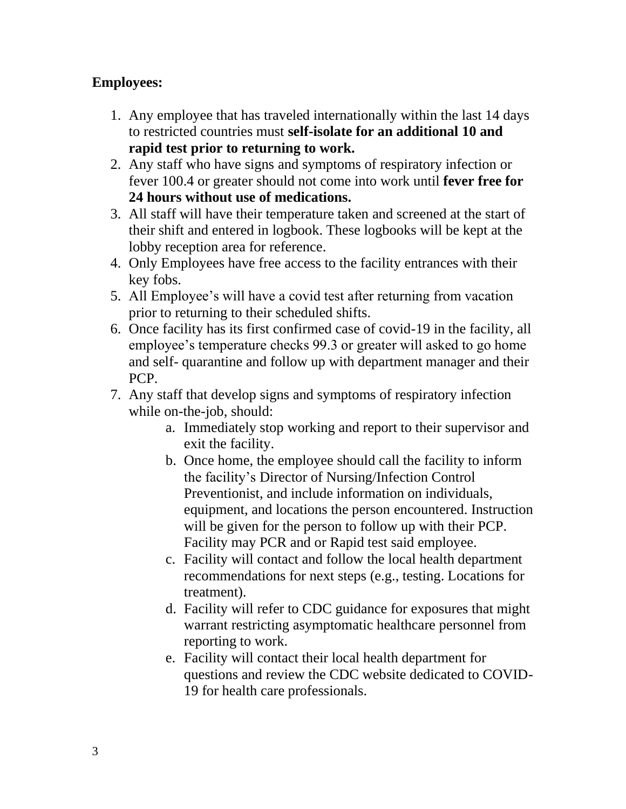#### **Employees:**

- 1. Any employee that has traveled internationally within the last 14 days to restricted countries must **self-isolate for an additional 10 and rapid test prior to returning to work.**
- 2. Any staff who have signs and symptoms of respiratory infection or fever 100.4 or greater should not come into work until **fever free for 24 hours without use of medications.**
- 3. All staff will have their temperature taken and screened at the start of their shift and entered in logbook. These logbooks will be kept at the lobby reception area for reference.
- 4. Only Employees have free access to the facility entrances with their key fobs.
- 5. All Employee's will have a covid test after returning from vacation prior to returning to their scheduled shifts.
- 6. Once facility has its first confirmed case of covid-19 in the facility, all employee's temperature checks 99.3 or greater will asked to go home and self- quarantine and follow up with department manager and their PCP.
- 7. Any staff that develop signs and symptoms of respiratory infection while on-the-job, should:
	- a. Immediately stop working and report to their supervisor and exit the facility.
	- b. Once home, the employee should call the facility to inform the facility's Director of Nursing/Infection Control Preventionist, and include information on individuals, equipment, and locations the person encountered. Instruction will be given for the person to follow up with their PCP. Facility may PCR and or Rapid test said employee.
	- c. Facility will contact and follow the local health department recommendations for next steps (e.g., testing. Locations for treatment).
	- d. Facility will refer to CDC guidance for exposures that might warrant restricting asymptomatic healthcare personnel from reporting to work.
	- e. Facility will contact their local health department for questions and review the CDC website dedicated to COVID-19 for health care professionals.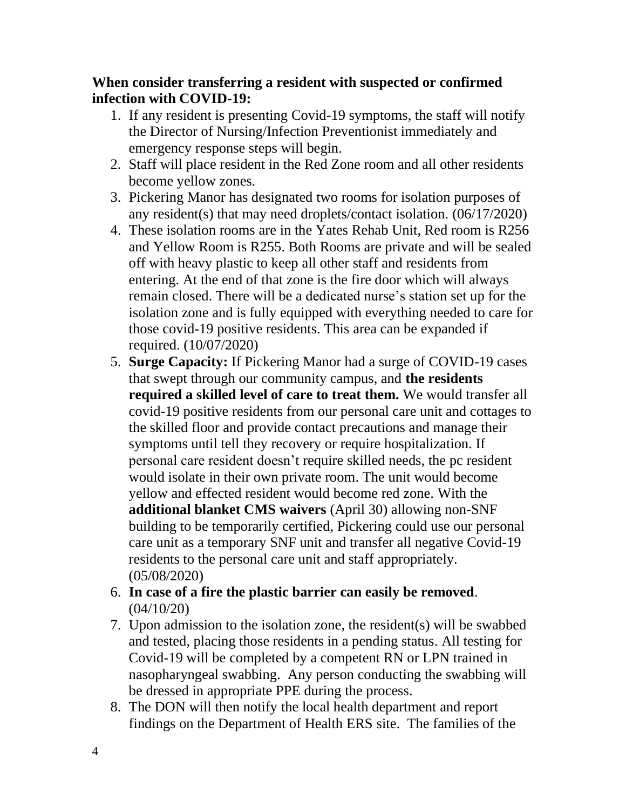#### **When consider transferring a resident with suspected or confirmed infection with COVID-19:**

- 1. If any resident is presenting Covid-19 symptoms, the staff will notify the Director of Nursing/Infection Preventionist immediately and emergency response steps will begin.
- 2. Staff will place resident in the Red Zone room and all other residents become yellow zones.
- 3. Pickering Manor has designated two rooms for isolation purposes of any resident(s) that may need droplets/contact isolation. (06/17/2020)
- 4. These isolation rooms are in the Yates Rehab Unit, Red room is R256 and Yellow Room is R255. Both Rooms are private and will be sealed off with heavy plastic to keep all other staff and residents from entering. At the end of that zone is the fire door which will always remain closed. There will be a dedicated nurse's station set up for the isolation zone and is fully equipped with everything needed to care for those covid-19 positive residents. This area can be expanded if required. (10/07/2020)
- 5. **Surge Capacity:** If Pickering Manor had a surge of COVID-19 cases that swept through our community campus, and **the residents required a skilled level of care to treat them.** We would transfer all covid-19 positive residents from our personal care unit and cottages to the skilled floor and provide contact precautions and manage their symptoms until tell they recovery or require hospitalization. If personal care resident doesn't require skilled needs, the pc resident would isolate in their own private room. The unit would become yellow and effected resident would become red zone. With the **additional blanket CMS waivers** (April 30) allowing non-SNF building to be temporarily certified, Pickering could use our personal care unit as a temporary SNF unit and transfer all negative Covid-19 residents to the personal care unit and staff appropriately. (05/08/2020)
- 6. **In case of a fire the plastic barrier can easily be removed**. (04/10/20)
- 7. Upon admission to the isolation zone, the resident(s) will be swabbed and tested, placing those residents in a pending status. All testing for Covid-19 will be completed by a competent RN or LPN trained in nasopharyngeal swabbing. Any person conducting the swabbing will be dressed in appropriate PPE during the process.
- 8. The DON will then notify the local health department and report findings on the Department of Health ERS site. The families of the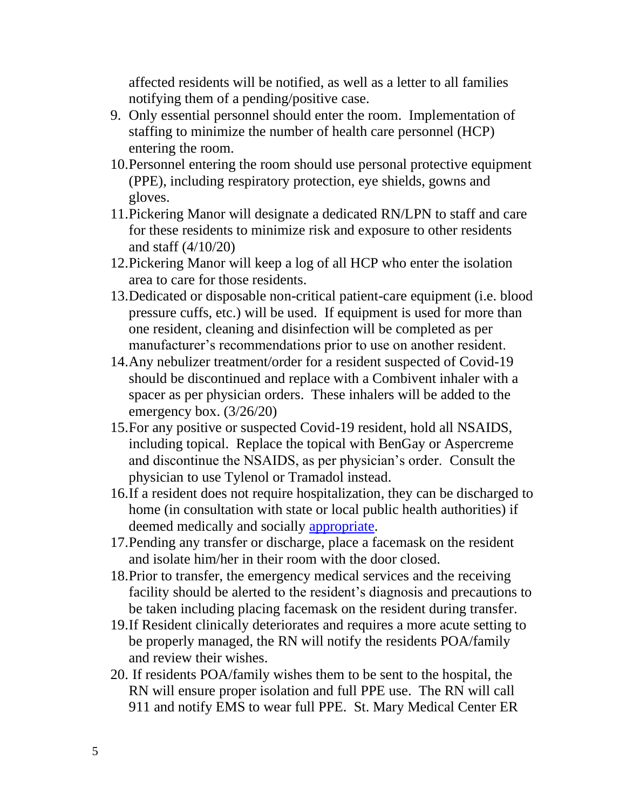affected residents will be notified, as well as a letter to all families notifying them of a pending/positive case.

- 9. Only essential personnel should enter the room. Implementation of staffing to minimize the number of health care personnel (HCP) entering the room.
- 10.Personnel entering the room should use personal protective equipment (PPE), including respiratory protection, eye shields, gowns and gloves.
- 11.Pickering Manor will designate a dedicated RN/LPN to staff and care for these residents to minimize risk and exposure to other residents and staff (4/10/20)
- 12.Pickering Manor will keep a log of all HCP who enter the isolation area to care for those residents.
- 13.Dedicated or disposable non-critical patient-care equipment (i.e. blood pressure cuffs, etc.) will be used. If equipment is used for more than one resident, cleaning and disinfection will be completed as per manufacturer's recommendations prior to use on another resident.
- 14.Any nebulizer treatment/order for a resident suspected of Covid-19 should be discontinued and replace with a Combivent inhaler with a spacer as per physician orders. These inhalers will be added to the emergency box. (3/26/20)
- 15.For any positive or suspected Covid-19 resident, hold all NSAIDS, including topical. Replace the topical with BenGay or Aspercreme and discontinue the NSAIDS, as per physician's order. Consult the physician to use Tylenol or Tramadol instead.
- 16.If a resident does not require hospitalization, they can be discharged to home (in consultation with state or local public health authorities) if deemed medically and socially [appropriate.](https://www.cdc.gov/coronavirus/2019-ncov/hcp/guidance-home-care.html)
- 17.Pending any transfer or discharge, place a facemask on the resident and isolate him/her in their room with the door closed.
- 18.Prior to transfer, the emergency medical services and the receiving facility should be alerted to the resident's diagnosis and precautions to be taken including placing facemask on the resident during transfer.
- 19.If Resident clinically deteriorates and requires a more acute setting to be properly managed, the RN will notify the residents POA/family and review their wishes.
- 20. If residents POA/family wishes them to be sent to the hospital, the RN will ensure proper isolation and full PPE use. The RN will call 911 and notify EMS to wear full PPE. St. Mary Medical Center ER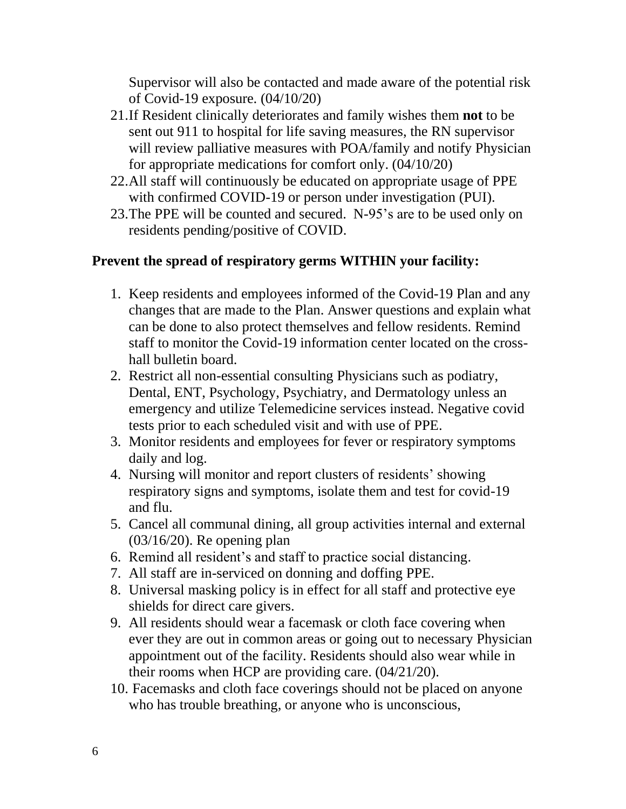Supervisor will also be contacted and made aware of the potential risk of Covid-19 exposure. (04/10/20)

- 21.If Resident clinically deteriorates and family wishes them **not** to be sent out 911 to hospital for life saving measures, the RN supervisor will review palliative measures with POA/family and notify Physician for appropriate medications for comfort only. (04/10/20)
- 22.All staff will continuously be educated on appropriate usage of PPE with confirmed COVID-19 or person under investigation (PUI).
- 23.The PPE will be counted and secured. N-95's are to be used only on residents pending/positive of COVID.

#### **Prevent the spread of respiratory germs WITHIN your facility:**

- 1. Keep residents and employees informed of the Covid-19 Plan and any changes that are made to the Plan. Answer questions and explain what can be done to also protect themselves and fellow residents. Remind staff to monitor the Covid-19 information center located on the crosshall bulletin board.
- 2. Restrict all non-essential consulting Physicians such as podiatry, Dental, ENT, Psychology, Psychiatry, and Dermatology unless an emergency and utilize Telemedicine services instead. Negative covid tests prior to each scheduled visit and with use of PPE.
- 3. Monitor residents and employees for fever or respiratory symptoms daily and log.
- 4. Nursing will monitor and report clusters of residents' showing respiratory signs and symptoms, isolate them and test for covid-19 and flu.
- 5. Cancel all communal dining, all group activities internal and external (03/16/20). Re opening plan
- 6. Remind all resident's and staff to practice social distancing.
- 7. All staff are in-serviced on donning and doffing PPE.
- 8. Universal masking policy is in effect for all staff and protective eye shields for direct care givers.
- 9. All residents should wear a facemask or cloth face covering when ever they are out in common areas or going out to necessary Physician appointment out of the facility. Residents should also wear while in their rooms when HCP are providing care. (04/21/20).
- 10. Facemasks and cloth face coverings should not be placed on anyone who has trouble breathing, or anyone who is unconscious,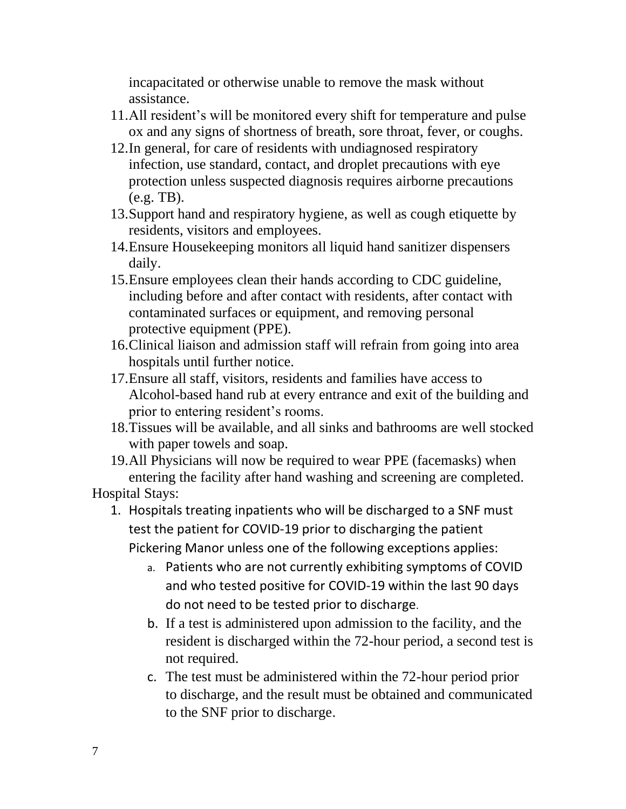incapacitated or otherwise unable to remove the mask without assistance.

- 11.All resident's will be monitored every shift for temperature and pulse ox and any signs of shortness of breath, sore throat, fever, or coughs.
- 12.In general, for care of residents with undiagnosed respiratory infection, use standard, contact, and droplet precautions with eye protection unless suspected diagnosis requires airborne precautions (e.g. TB).
- 13.Support hand and respiratory hygiene, as well as cough etiquette by residents, visitors and employees.
- 14.Ensure Housekeeping monitors all liquid hand sanitizer dispensers daily.
- 15.Ensure employees clean their hands according to CDC guideline, including before and after contact with residents, after contact with contaminated surfaces or equipment, and removing personal protective equipment (PPE).
- 16.Clinical liaison and admission staff will refrain from going into area hospitals until further notice.
- 17.Ensure all staff, visitors, residents and families have access to Alcohol-based hand rub at every entrance and exit of the building and prior to entering resident's rooms.
- 18.Tissues will be available, and all sinks and bathrooms are well stocked with paper towels and soap.
- 19.All Physicians will now be required to wear PPE (facemasks) when entering the facility after hand washing and screening are completed.

Hospital Stays:

- 1. Hospitals treating inpatients who will be discharged to a SNF must test the patient for COVID-19 prior to discharging the patient Pickering Manor unless one of the following exceptions applies:
	- a. Patients who are not currently exhibiting symptoms of COVID and who tested positive for COVID-19 within the last 90 days do not need to be tested prior to discharge.
	- b. If a test is administered upon admission to the facility, and the resident is discharged within the 72-hour period, a second test is not required.
	- c. The test must be administered within the 72-hour period prior to discharge, and the result must be obtained and communicated to the SNF prior to discharge.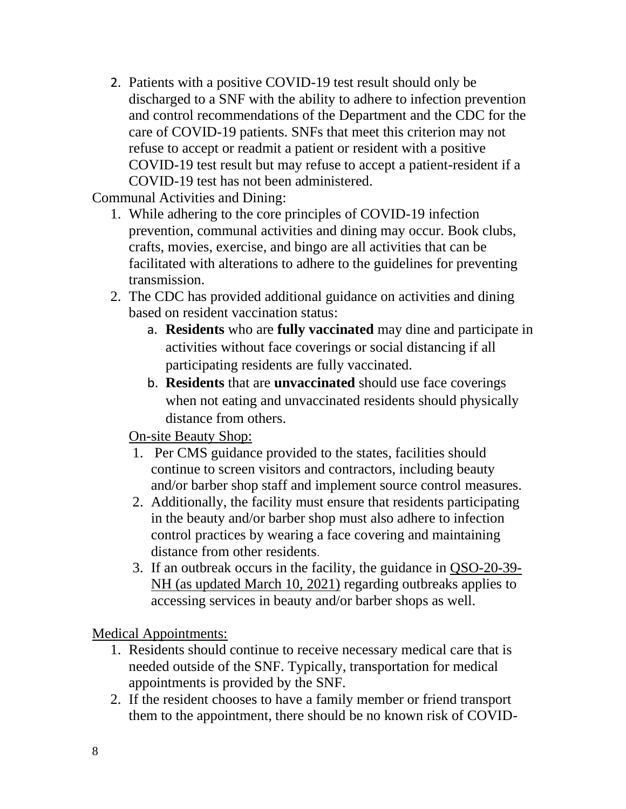2. Patients with a positive COVID-19 test result should only be discharged to a SNF with the ability to adhere to infection prevention and control recommendations of the Department and the CDC for the care of COVID-19 patients. SNFs that meet this criterion may not refuse to accept or readmit a patient or resident with a positive COVID-19 test result but may refuse to accept a patient-resident if a COVID-19 test has not been administered.

Communal Activities and Dining:

- 1. While adhering to the core principles of COVID-19 infection prevention, communal activities and dining may occur. Book clubs, crafts, movies, exercise, and bingo are all activities that can be facilitated with alterations to adhere to the guidelines for preventing transmission.
- 2. The CDC has provided additional guidance on activities and dining based on resident vaccination status:
	- a. **Residents** who are **fully vaccinated** may dine and participate in activities without face coverings or social distancing if all participating residents are fully vaccinated.
	- b. **Residents** that are **unvaccinated** should use face coverings when not eating and unvaccinated residents should physically distance from others.

## On-site Beauty Shop:

- 1. Per CMS guidance provided to the states, facilities should continue to screen visitors and contractors, including beauty and/or barber shop staff and implement source control measures.
- 2. Additionally, the facility must ensure that residents participating in the beauty and/or barber shop must also adhere to infection control practices by wearing a face covering and maintaining distance from other residents.
- 3. If an outbreak occurs in the facility, the guidance in [QSO-20-39-](https://www.cms.gov/files/document/qso-20-39-nh-revised.pdf) [NH \(as updated March 10, 2021\)](https://www.cms.gov/files/document/qso-20-39-nh-revised.pdf) regarding outbreaks applies to accessing services in beauty and/or barber shops as well.

Medical Appointments:

- 1. Residents should continue to receive necessary medical care that is needed outside of the SNF. Typically, transportation for medical appointments is provided by the SNF.
- 2. If the resident chooses to have a family member or friend transport them to the appointment, there should be no known risk of COVID-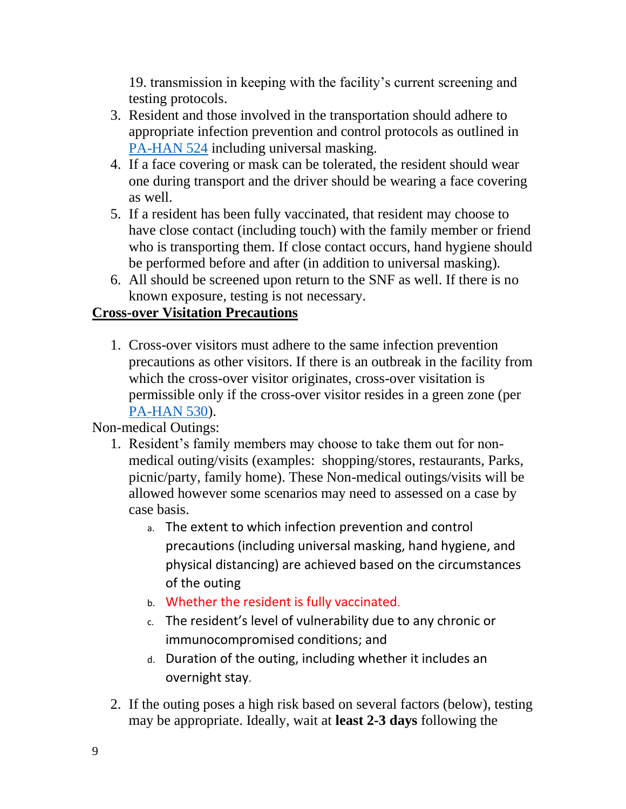19. transmission in keeping with the facility's current screening and testing protocols.

- 3. Resident and those involved in the transportation should adhere to appropriate infection prevention and control protocols as outlined in [PA-HAN 524](https://www.health.pa.gov/topics/Documents/HAN/2020-PAHAN-524-09-10-UPD-%20Infection.pdf) including universal masking.
- 4. If a face covering or mask can be tolerated, the resident should wear one during transport and the driver should be wearing a face covering as well.
- 5. If a resident has been fully vaccinated, that resident may choose to have close contact (including touch) with the family member or friend who is transporting them. If close contact occurs, hand hygiene should be performed before and after (in addition to universal masking).
- 6. All should be screened upon return to the SNF as well. If there is no known exposure, testing is not necessary.

### **Cross-over Visitation Precautions**

1. Cross-over visitors must adhere to the same infection prevention precautions as other visitors. If there is an outbreak in the facility from which the cross-over visitor originates, cross-over visitation is permissible only if the cross-over visitor resides in a green zone (per [PA-HAN 530\)](https://www.health.pa.gov/topics/Documents/HAN/2020-PAHAN-530-10-7-ADV-TESTING%20UPDA.pdf).

Non-medical Outings:

- 1. Resident's family members may choose to take them out for nonmedical outing/visits (examples: shopping/stores, restaurants, Parks, picnic/party, family home). These Non-medical outings/visits will be allowed however some scenarios may need to assessed on a case by case basis.
	- a. The extent to which infection prevention and control precautions (including universal masking, hand hygiene, and physical distancing) are achieved based on the circumstances of the outing
	- b. Whether the resident is fully vaccinated.
	- c. The resident's level of vulnerability due to any chronic or immunocompromised conditions; and
	- d. Duration of the outing, including whether it includes an overnight stay.
- 2. If the outing poses a high risk based on several factors (below), testing may be appropriate. Ideally, wait at **least 2-3 days** following the